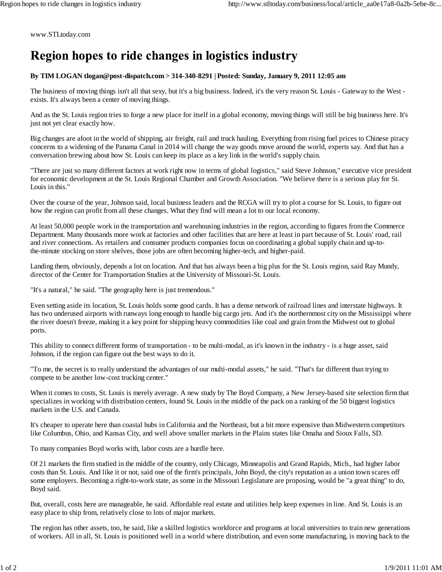www.STLtoday.com

## Region hopes to ride changes in logistics industry

## **By TIM LOGAN tlogan@post-dispatch.com > 314-340-8291 | Posted: Sunday, January 9, 2011 12:05 am**

The business of moving things isn't all that sexy, but it's a big business. Indeed, it's the very reason St. Louis - Gateway to the West exists. It's always been a center of moving things.

And as the St. Louis region tries to forge a new place for itself in a global economy, moving things will still be big business here. It's just not yet clear exactly how.

Big changes are afoot in the world of shipping, air freight, rail and truck hauling. Everything from rising fuel prices to Chinese piracy concerns to a widening of the Panama Canal in 2014 will change the way goods move around the world, experts say. And that has a conversation brewing about how St. Louis can keep its place as a key link in the world's supply chain.

"There are just so many different factors at work right now in terms of global logistics," said Steve Johnson," executive vice president for economic development at the St. Louis Regional Chamber and Growth Association. "We believe there is a serious play for St. Louis in this."

Over the course of the year, Johnson said, local business leaders and the RCGA will try to plot a course for St. Louis, to figure out how the region can profit from all these changes. What they find will mean a lot to our local economy.

At least 50,000 people work in the transportation and warehousing industries in the region, according to figures from the Commerce Department. Many thousands more work at factories and other facilities that are here at least in part because of St. Louis' road, rail and river connections. As retailers and consumer products companies focus on coordinating a global supply chain and up-tothe-minute stocking on store shelves, those jobs are often becoming higher-tech, and higher-paid.

Landing them, obviously, depends a lot on location. And that has always been a big plus for the St. Louis region, said Ray Mundy, director of the Center for Transportation Studies at the University of Missouri-St. Louis.

"It's a natural," he said. "The geography here is just tremendous."

Even setting aside its location, St. Louis holds some good cards. It has a dense network of railroad lines and interstate highways. It has two underused airports with runways long enough to handle big cargo jets. And it's the northernmost city on the Mississippi where the river doesn't freeze, making it a key point for shipping heavy commodities like coal and grain from the Midwest out to global ports.

This ability to connect different forms of transportation - to be multi-modal, as it's known in the industry - is a huge asset, said Johnson, if the region can figure out the best ways to do it.

"To me, the secret is to really understand the advantages of our multi-modal assets," he said. "That's far different than trying to compete to be another low-cost trucking center."

When it comes to costs, St. Louis is merely average. A new study by The Boyd Company, a New Jersey-based site selection firm that specializes in working with distribution centers, found St. Louis in the middle of the pack on a ranking of the 50 biggest logistics markets in the U.S. and Canada.

It's cheaper to operate here than coastal hubs in California and the Northeast, but a bit more expensive than Midwestern competitors like Columbus, Ohio, and Kansas City, and well above smaller markets in the Plains states like Omaha and Sioux Falls, SD.

To many companies Boyd works with, labor costs are a hurdle here.

Of 21 markets the firm studied in the middle of the country, only Chicago, Minneapolis and Grand Rapids, Mich., had higher labor costs than St. Louis. And like it or not, said one of the firm's principals, John Boyd, the city's reputation as a union town scares off some employers. Becoming a right-to-work state, as some in the Missouri Legislature are proposing, would be "a great thing" to do, Boyd said.

But, overall, costs here are manageable, he said. Affordable real estate and utilities help keep expenses in line. And St. Louis is an easy place to ship from, relatively close to lots of major markets.

The region has other assets, too, he said, like a skilled logistics workforce and programs at local universities to train new generations of workers. All in all, St. Louis is positioned well in a world where distribution, and even some manufacturing, is moving back to the